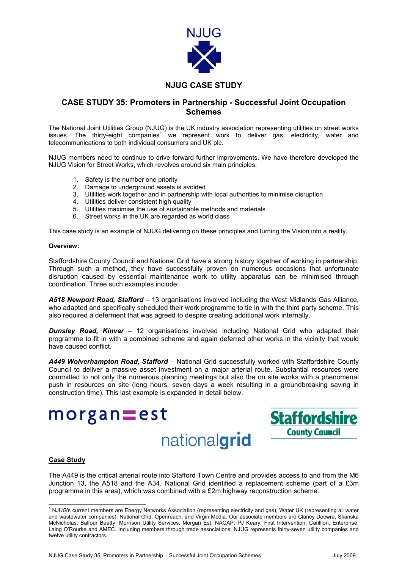

# **NJUG CASE STUDY**

## **CASE STUDY 35: Promoters in Partnership - Successful Joint Occupation Schemes**

The National Joint Utilities Group (NJUG) is the UK industry association representing utilities on street works issues. The thirty-eight companies<sup>[1](#page-0-0)</sup> we represent work to deliver gas, electricity, water and telecommunications to both individual consumers and UK plc.

NJUG members need to continue to drive forward further improvements. We have therefore developed the NJUG Vision for Street Works, which revolves around six main principles:

- 1. Safety is the number one priority
- 2. Damage to underground assets is avoided
- 3. Utilities work together and in partnership with local authorities to minimise disruption
- 4. Utilities deliver consistent high quality
- 5. Utilities maximise the use of sustainable methods and materials
- 6. Street works in the UK are regarded as world class

This case study is an example of NJUG delivering on these principles and turning the Vision into a reality.

#### **Overview:**

Staffordshire County Council and National Grid have a strong history together of working in partnership. Through such a method, they have successfully proven on numerous occasions that unfortunate disruption caused by essential maintenance work to utility apparatus can be minimised through coordination. Three such examples include:

*A518 Newport Road, Stafford* – 13 organisations involved including the West Midlands Gas Alliance, who adapted and specifically scheduled their work programme to tie in with the third party scheme. This also required a deferment that was agreed to despite creating additional work internally.

*Dunsley Road, Kinver* – 12 organisations involved including National Grid who adapted their programme to fit in with a combined scheme and again deferred other works in the vicinity that would have caused conflict.

*A449 Wolverhampton Road, Stafford* – National Grid successfully worked with Staffordshire County Council to deliver a massive asset investment on a major arterial route. Substantial resources were committed to not only the numerous planning meetings but also the on site works with a phenomenal push in resources on site (long hours, seven days a week resulting in a groundbreaking saving in construction time). This last example is expanded in detail below.

nationalgrid



#### **Case Study**

 $m$ organ $=$ est

The A449 is the critical arterial route into Stafford Town Centre and provides access to and from the M6 Junction 13, the A518 and the A34. National Grid identified a replacement scheme (part of a £3m programme in this area), which was combined with a £2m highway reconstruction scheme.

<span id="page-0-0"></span> $\frac{1}{1}$ <sup>1</sup> NJUG's current members are Energy Networks Association (representing electricity and gas), Water UK (representing all water and wastewater companies), National Grid, Openreach, and Virgin Media. Our associate members are Clancy Docwra, Skanska McNicholas, Balfour Beatty, Morrison Utility Services, Morgan Est, NACAP, PJ Keary, First Intervention, Carillion, Enterprise, Laing O'Rourke and AMEC. Including members through trade associations, NJUG represents thirty-seven utility companies and twelve utility contractors.